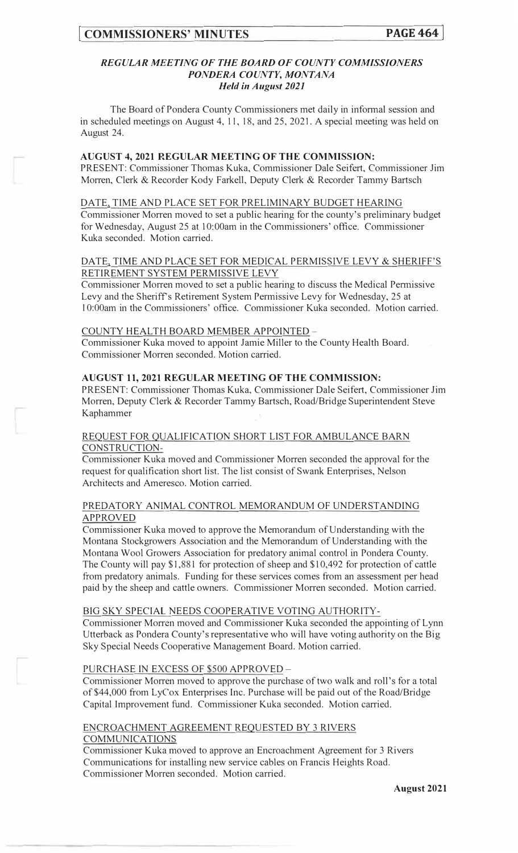# *REGULAR MEETING OF THE BOARD OF COUNTY COMMISSIONERS PONDERA COUNTY, MONTANA Held in August 2021*

The Board of Pondera County Commissioners met daily in informal session and in scheduled meetings on August 4, 11, 18, and 25, 2021. A special meeting was held on August 24.

# **AUGUST 4, 2021 REGULAR MEETING OF THE COMMISSJON:**

PRESENT: Commissioner Thomas Kuka, Commissioner Dale Seifert, Commissioner Jim Morren, Clerk & Recorder Kody Farkell, Deputy Clerk & Recorder Tammy Bartsch

## DATE, TIME AND PLACE SET FOR PRELIMINARY BUDGET HEARING

Commissioner Morren moved to set a public hearing for the county's preliminary budget for Wednesday, August 25 at 10:00am in the Commissioners' office. Commissioner Kuka seconded. Motion carried.

# DATE, TIME AND PLACE SET FOR MEDICAL PERMISSIVE LEVY & SHERIFF'S RETIREMENT SYSTEM PERMISSIVE LEVY

Commissioner Morren moved to set a public hearing to discuss the Medical Pennissive Levy and the Sheriff's Retirement System Permissive Levy for Wednesday, 25 at I O:OOam in the Commissioners' office. Commissioner Kuka seconded. Motion carried.

## COUNTY HEALTH BOARD MEMBER APPOINTED -

Commissioner Kuka moved to appoint Jamie Miller to the County Health Board. Commissioner Morren seconded. Motion carried.

## **AUGUST 11, 2021 REGULAR MEETJNG OF THE COMMISSION:**

PRESENT: Commissioner Thomas Kuka, Commissioner Dale Seifert, Commissioner Jim Morren, Deputy Clerk & Recorder Tammy Bartsch, Road/Bridge Superintendent Steve Kaphammer

## REQUEST FOR QUALIFICATION SHORT LIST FOR AMBULANCE BARN CONSTRUCTION-

Commissioner Kuka moved and Commissioner Morren seconded the approval for the request for qualification short list. The list consist of Swank Enterprises, Nelson Architects and Ameresco. Motion carried.

# PREDATORY ANIMAL CONTROL MEMORANDUM OF UNDERSTANDING APPROVED

Commissioner Kuka moved to approve the Memorandum of Understanding with the Montana Stockgrowers Association and the Memorandum of Understanding with the Montana Wool Growers Association for predatory animal control in Pondera County. The County will pay \$1,881 for protection of sheep and \$1 0,492 for protection of cattle from predatory animals. Funding for these services comes from an assessment per head paid by the sheep and cattle owners. Commissioner Morren seconded. Motion carried.

## BIG SKY SPECIAL NEEDS COOPERATIVE VOTING AUTHORITY-

Commissioner Morren moved and Commissioner Kuka seconded the appointing of Lynn Utterback as Pondera County's representative who will have voting authority on the Big Sky Special Needs Cooperative Management Board. Motion carried.

## PURCHASE IN EXCESS OF \$500 APPROVED -

Commissioner Morren moved to approve the purchase of two walk and roll's for a total of \$44,000 from LyCox Enterprises Inc. Purchase will be paid out of the Road/Bridge Capital Improvement fund. Commissioner Kuka seconded. Motion carried.

# ENCROACHMENT AGREEMENT REQUESTED BY 3 RIVERS COMMUNICATIONS

Commissioner Kuka moved to approve an Encroachment Agreement for 3 Rivers Communications for installing new service cables on Francis Heights Road. Commissioner Morren seconded. Motion carried.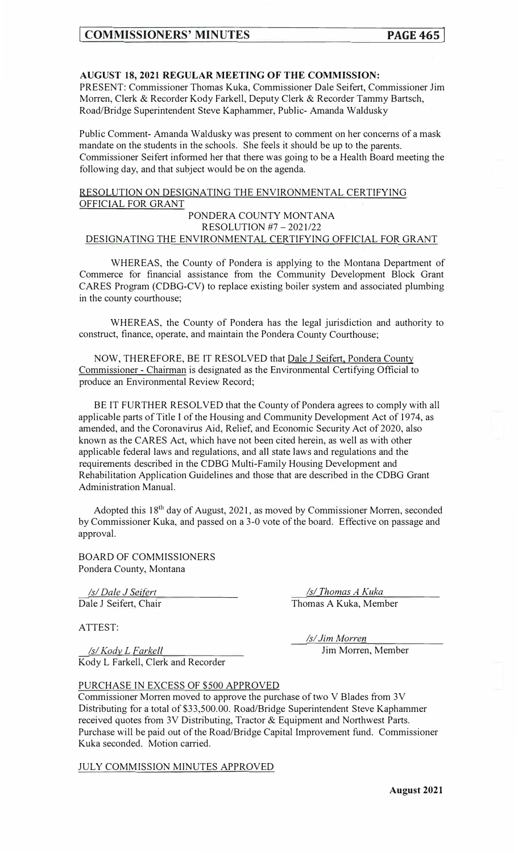# **AUGUST 18, 2021 REGULAR MEETING OF THE COMMISSION:**

PRESENT: Commissioner Thomas Kuka, Commissioner Dale Seifert, Commissioner Jim Morren, Clerk & Recorder Kody Farkell, Deputy Clerk & Recorder Tammy Bartsch, Road/Bridge Superintendent Steve Kaphammer, Public- Amanda Waldusky

Public Comment- Amanda Waldusky was present to comment on her concerns of a mask mandate on the students in the schools. She feels it should be up to the parents. Commissioner Seifert informed her that there was going to be a Health Board meeting the following day, and that subject would be on the agenda.

# RESOLUTION ON DESIGNATING THE ENVIRONMENTAL CERTIFYING OFFICIAL FOR GRANT PONDERA COUNTY MONTANA RESOLUTION #7 - 2021/22

# DESIGNATING THE ENVIRONMENTAL CERTIFYING OFFICIAL FOR GRANT

WHEREAS, the County of Pondera is applying to the Montana Department of Commerce for financial assistance from the Community Development Block Grant CARES Program (CDBG-CV) to replace existing boiler system and associated plumbing in the county courthouse;

WHEREAS, the County of Pondera has the legal jurisdiction and authority to construct, finance, operate, and maintain the Pondera County Courthouse;

NOW, THEREFORE, BE IT RESOLVED that Dale J Seifert, Pondera County Commissioner - Chairman is designated as the Environmental Certifying Official to produce an Environmental Review Record;

BE IT FURTHER RESOLVED that the County of Pondera agrees to comply with all applicable parts of Title I of the Housing and Community Development Act of 1974, as amended, and the Coronavirus Aid, Relief, and Economic Security Act of 2020, also known as the CARES Act, which have not been cited herein, as well as with other applicable federal laws and regulations, and all state laws and regulations and the requirements described in the CDBG Multi-Family Housing Development and Rehabilitation Application Guidelines and those that are described in the CDBG Grant Administration Manual.

Adopted this 18<sup>th</sup> day of August, 2021, as moved by Commissioner Morren, seconded by Commissioner Kuka, and passed on a 3-0 vote of the board. Effective on passage and approval.

BOARD OF COMMISSIONERS Pondera County, Montana

*Isl Dale J Sejfgrt*  Dale J Seifert, Chair

*ls(\_Thomas A Kuka*  Thomas A Kuka, Member

ATTEST:

*Isl Kody\_ L Farkell*  Kody L Farkell, Clerk and Recorder *Isl Jim Morre\_n\_*  Jim Morren, Member

PURCHASE IN EXCESS OF \$500 APPROVED

Commissioner Morren moved to approve the purchase of two V Blades from 3V Distributing for a total of \$33,500.00. Road/Bridge Superintendent Steve Kaphammer received quotes from 3V Distributing, Tractor & Equipment and Northwest Parts. Purchase will be paid out of the Road/Bridge Capital Improvement fund. Commissioner Kuka seconded. Motion carried.

JULY COMMISSION MINUTES APPROVED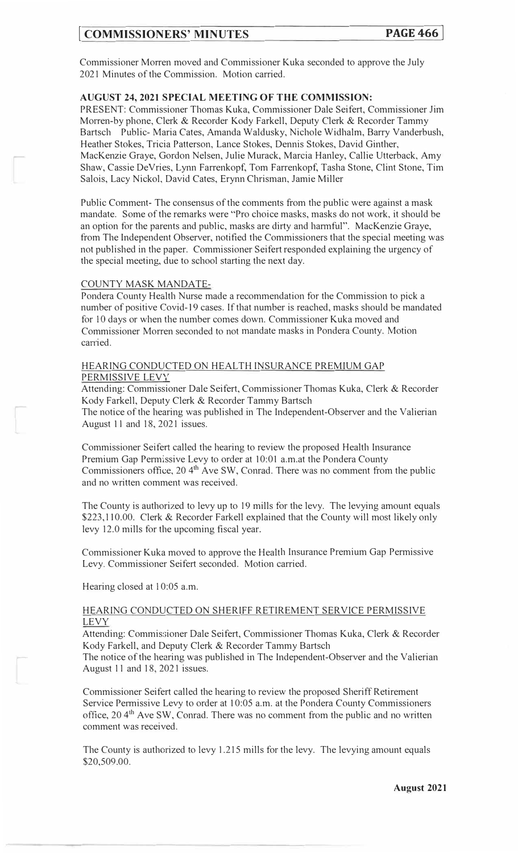# **COMMISSIONERS' MINUTES**

Commissioner Morren moved and Commissioner Kuka seconded to approve the July 2021 Minutes of the Commission. Motion carried.

# **AUGUST 24, 2021 SPECIAL MEETING OF THE COMMISSION:**

PRESENT: Commissioner Thomas Kuka, Commissioner Dale Seifert, Commissioner Jim Morren-by phone, Clerk & Recorder Kody Farkell, Deputy Clerk & Recorder Tammy Bartsch Public- Maria Cates, Amanda Waldusky, Nichole Widhalm, Barry Vanderbush, Heather Stokes, Tricia Patterson, Lance Stokes, Dennis Stokes, David Ginther, MacKenzie Graye, Gordon Nelsen, Julie Murack, Marcia Hanley, Callie Utterback, Amy Shaw, Cassie DeVries, Lynn Farrenkopf, Tom Farrenkopf, Tasha Stone, Clint Stone, Tim Salois, Lacy Nickol, David Cates, Erynn Chrisman, Jamie Miller

Public Comment- The consensus of the comments from the public were against a mask mandate. Some of the remarks were "Pro choice masks, masks do not work, it should be an option for the parents and public, masks are dirty and harmful". MacKenzie Graye, from The Independent Observer, notified the Commissioners that the special meeting was not published in the paper. Commissioner Seifert responded explaining the urgency of the special meeting, due to school starting the next day.

#### COUNTY MASK MANDATE-

Pondera County Health Nurse made a recommendation for the Commission to pick a number of positive Covid-19 cases. If that number is reached, masks should be mandated for IO days or when the number comes down. Commissioner Kuka moved and Commissioner Morren seconded to not mandate masks in Pondera County. Motion car<sup>r</sup> ied.

## HEARING CONDUCTED ON HEALTH INSURANCE PREMIUM GAP PERMISSIVE LEVY

Attending: Commissioner Dale Seifert, Commissioner Thomas Kuka, Clerk & Recorder Kody Farkell, Deputy Clerk & Recorder Tammy Bartsch

The notice of the hearing was published in The Independent-Observer and the Yalierian August 11 and 18, 2021 issues.

Commissioner Seifert called the hearing to review the proposed Health Insurance Premium Gap Permissive Levy to order at 10:01 a.m.at the Pondera County Commissioners office,  $20\,4<sup>th</sup>$  Ave SW, Conrad. There was no comment from the public and no written comment was received.

The County is authorized to levy up to 19 mills for the levy. The levying amount equals \$223,110.00. Clerk & Recorder Farkell explained that the County will most likely only levy 12.0 mills for the upcoming fiscal year.

Commissioner Kuka moved to approve the Health Insurance Premium Gap Permissive Levy. Commissioner Seifert seconded. Motion carried.

Hearing closed at 10:05 a.m.

# HEARING CONDUCTED ON SHERIFF RETIREMENT SERVICE PERMISSIVE LEVY

Attending: Commissioner Dale Seifert, Commissioner Thomas Kuka, Clerk & Recorder Kody Farkell, and Deputy Clerk & Recorder Tammy Bartsch

The notice of the hearing was published in The Independent-Observer and the Yalierian August 11 and 18, 2021 issues.

Commissioner Seifert called the hearing to review the proposed Sheriff Retirement Service Pennissive Levy to order at I 0:05 a.m. at the Pondera County Commissioners office, 204<sup>th</sup> Ave SW, Conrad. There was no comment from the public and no written comment was received.

The County is authorized to levy 1.215 mills for the levy. The levying amount equals \$20,509.00.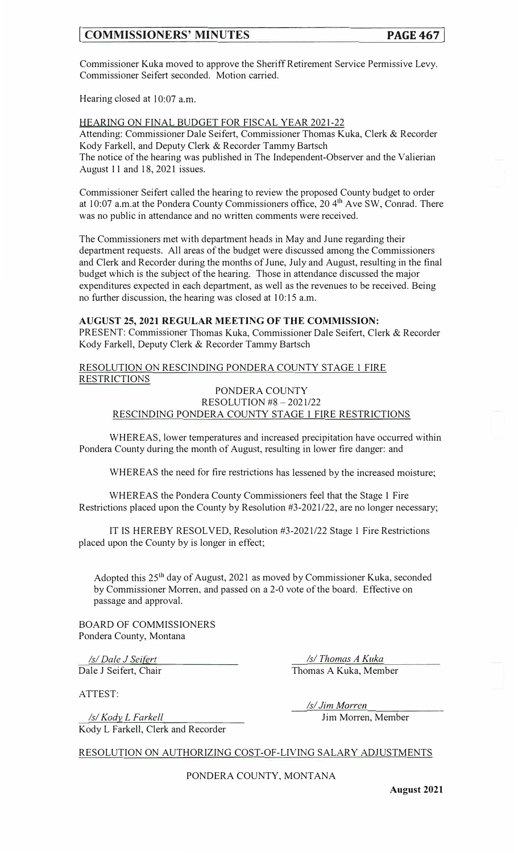# **[ COMMISSIONERS' MINUTES PAGE467]**

Commissioner Kuka moved to approve the Sheriff Retirement Service Permissive Levy. Commissioner Seifert seconded. Motion carried.

Hearing closed at 10:07 a.m.

HEARING ON FINAL BUDGET FOR FISCAL YEAR 2021-22 Attending: Commissioner Dale Seifert, Commissioner Thomas Kuka, Clerk & Recorder Kody Farkell, and Deputy Clerk & Recorder Tammy Bartsch The notice of the hearing was published in The Independent-Observer and the Valierian August 11 and 18, 2021 issues.

Commissioner Seifert called the hearing to review the proposed County budget to order at 10:07 a.m.at the Pondera County Commissioners office, 20 4<sup>th</sup> Ave SW, Conrad. There was no public in attendance and no written comments were received.

The Commissioners met with department heads in May and June regarding their department requests. All areas of the budget were discussed among the Commissioners and Clerk and Recorder during the months of June, July and August, resulting in the final budget which is the subject of the hearing. Those in attendance discussed the major expenditures expected in each department, as well as the revenues to be received. Being no further discussion, the hearing was closed at 10:15 a.m.

# **AUGUST 25, 2021 REGULAR MEETING OF THE COMMISSION:**

PRESENT: Commissioner Thomas Kuka, Commissioner Dale Seifert, Clerk & Recorder Kody Farkell, Deputy Clerk & Recorder Tammy Bartsch

RESOLUTION ON RESCINDING PONDERA COUNTY STAGE 1 FIRE RESTRICTIONS

PONDERA COUNTY RESOLUTION #8 - 2021/22

# RESCINDING PONDERA COUNTY STAGE 1 FIRE RESTRICTIONS

WHEREAS, lower temperatures and increased precipitation have occurred within Pondera County during the month of August, resulting in lower fire danger: and

WHEREAS the need for fire restrictions has lessened by the increased moisture;

WHEREAS the Pondera County Commissioners feel that the Stage 1 Fire Restrictions placed upon the County by Resolution #3-2021/22, are no longer necessary;

IT IS HEREBY RESOLVED, Resolution #3-2021/22 Stage 1 Fire Restrictions placed upon the County by is longer in effect;

Adopted this 25th day of August, 2021 as moved by Commissioner Kuka, seconded by Commissioner Morren, and passed on a 2-0 vote of the board. Effective on passage and approval.

BOARD OF COMMISSIONERS Pondera County, Montana

*Isl Dale J Seifert*  Dale J Seifert, Chair

*Isl Thomas A Kuka*  Thomas A Kuka, Member

ATTEST:

*ls/KQcly\_ L F arkell*  Kody L Farkell, Clerk and Recorder *Isl Jim Mo\_r\_ren*  Jim Morren, Member

RESOLUTION ON AUTHORIZING COST-OF-LIVING SALARY ADJUSTMENTS

PONDERA COUNTY, MONTANA

**August 2021**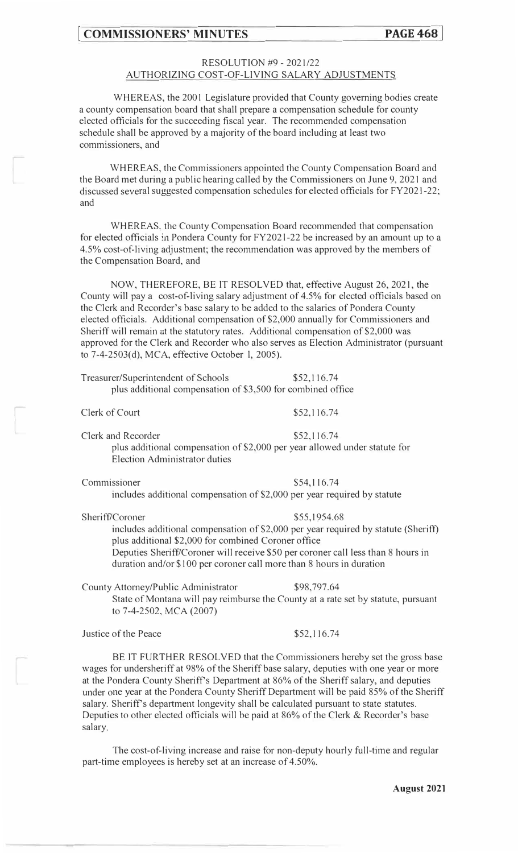# **EXECUTE: PAGE 468 PAGE 468**

# RESOLUTION #9 - 2021 /22 AUTHORIZING COST-OF-LIVING SALARY ADJUSTMENTS

WHEREAS, the 2001 Legislature provided that County governing bodies create a county compensation board that shall prepare a compensation schedule for county elected officials for the succeeding fiscal year. The recommended compensation schedule shall be approved by a majority of the board including at least two commissioners, and

WHEREAS, the Commissioners appointed the County Compensation Board and the Board met during a public hearing called by the Commissioners on June 9, 2021 and discussed several suggested compensation schedules for elected officials for FY2021-22; and

WHEREAS, the County Compensation Board recommended that compensation for elected officials in Pondera County for FY202 l-22 be increased by an amount up to a 4.5% cost-of-living adjustment; the recommendation was approved by the members of the Compensation Board, and

NOW, THEREFORE, BE IT RESOLVED that, effective August 26, 2021, the County will pay a cost-of-living salary adjustment of 4.5% for elected officials based on the Clerk and Recorder's base salary to be added to the salaries of Pondera County elected officials. Additional compensation of \$2,000 annually for Commissioners and Sheriff will remain at the statutory rates. Additional compensation of \$2,000 was approved for the Clerk and Recorder who also serves as Election Administrator (pursuant to 7-4-2503(d), MCA, effective October l, 2005).

Treasurer/Superintendent of Schools \$52,116.74 plus additional compensation of \$3,500 for combined office

Clerk of Court

\$52,116.74

Clerk and Recorder \$52,116.74 plus additional compensation of \$2,000 per year allowed under statute for Election Administrator duties

Commissioner \$54,116.74 includes additional compensation of \$2,000 per year required by statute

Sheriff/Coroner \$55,1954.68 includes additional compensation of \$2,000 per year required by statute (Sheriff) plus additional \$2,000 for combined Coroner office Deputies Sheriff/Coroner will receive \$50 per coroner call less than 8 hours in duration and/or \$100 per coroner call more than 8 hours in duration

County Attorney/Public Administrator \$98,797.64 State of Montana will pay reimburse the County at a rate set by statute, pursuant to 7-4-2502, MCA (2007)

Justice of the Peace \$52,116.74

BE IT FURTHER RESOLVED that the Commissioners hereby set the gross base wages for undersheriff at 98% of the Sheriff base salary, deputies with one year or more at the Pondera County Sheriff's Department at 86% of the Sheriff salary, and deputies under one year at the Pondera County Sheriff Department will be paid 85% of the Sheriff salary. Sheriff's department longevity shall be calculated pursuant to state statutes. Deputies to other elected officials will be paid at 86% of the Clerk & Recorder's base salary.

The cost-of-living increase and raise for non-deputy hourly full-time and regular part-time employees is hereby set at an increase of 4.50%.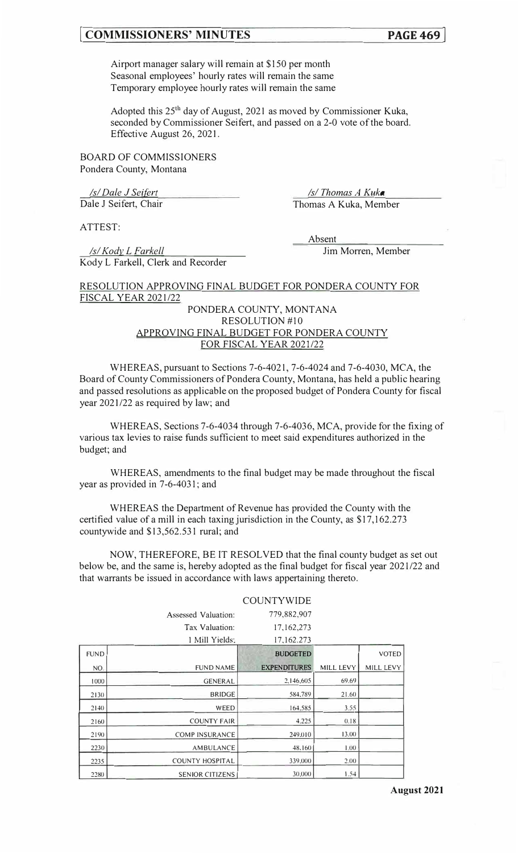# **I COMMISSIONERS' MINUTES PAGE469]**

Airport manager salary will remain at \$150 per month Seasonal employees' hourly rates will remain the same Temporary employee hourly rates will remain the same

Adopted this  $25<sup>th</sup>$  day of August, 2021 as moved by Commissioner Kuka, seconded by Commissioner Seifert, and passed on a 2-0 vote of the board. Effective August 26, 2021.

BOARD OF COMMISSIONERS Pondera County, Montana

*Isl Dale J Seifert*  Dale J Seifert, Chair

*Isl Thomas A Kukq*  Thomas A Kuka, Member

ATTEST:

*Isl Kody\_ L Farkell* 

Absent

Jim Morren, Member

Kody L Farkell, Clerk and Recorder

# RESOLUTION APPROVING FINAL BUDGET FOR PONDERA COUNTY FOR **FISCAL YEAR 2021/22**

# PONDERA COUNTY, MONTANA RESOLUTION #10 APPROVING FINAL BUDGET FOR PONDERA COUNTY FOR FISCAL YEAR 2021/22

WHEREAS, pursuant to Sections 7-6-4021, 7-6-4024 and 7-6-4030, MCA, the Board of County Commissioners of Pondera County, Montana, has held a public hearing and passed resolutions as applicable on the proposed budget of Pondera County for fiscal year 2021/22 as required by law; and

WHEREAS, Sections 7-6-4034 through 7-6-4036, MCA, provide for the fixing of various tax levies to raise funds sufficient to meet said expenditures authorized in the budget; and

WHEREAS, amendments to the final budget may be made throughout the fiscal year as provided in 7-6-4031; and

WHEREAS the Department of Revenue has provided the County with the certified value of a mill in each taxing jurisdiction in the County, as \$17,162.273 countywide and \$13,562.531 rural; and

NOW, THEREFORE, BE IT RESOLVED that the final county budget as set out below be, and the same is, hereby adopted as the final budget for fiscal year 2021/22 and that warrants be issued in accordance with laws appertaining thereto.

|             |                        | <b>COUNTYWIDE</b>   |           |              |
|-------------|------------------------|---------------------|-----------|--------------|
|             | Assessed Valuation:    | 779,882,907         |           |              |
|             | Tax Valuation:         | 17,162,273          |           |              |
|             | 1 Mill Yields:         | 17,162.273          |           |              |
| <b>FUND</b> |                        | <b>BUDGETED</b>     |           | <b>VOTED</b> |
| NO.         | <b>FUND NAME</b>       | <b>EXPENDITURES</b> | MILL LEVY | MILL LEVY    |
| 1000        | <b>GENERAL</b>         | 2,146,605           | 69.69     |              |
| 2130        | <b>BRIDGE</b>          | 584,789             | 21.60     |              |
| 2140        | WEED                   | 164,585             | 3.55      |              |
| 2160        | <b>COUNTY FAIR</b>     | 4.225               | 0.18      |              |
| 2190        | <b>COMP INSURANCE</b>  | 249,010             | 13.00     |              |
| 2230        | <b>AMBULANCE</b>       | 48,160              | 1.00      |              |
| 2235        | <b>COUNTY HOSPITAL</b> | 339,000             | 2.00      |              |
| 2280        | <b>SENIOR CITIZENS</b> | 30,000              | 1.54      |              |

#### **August 2021**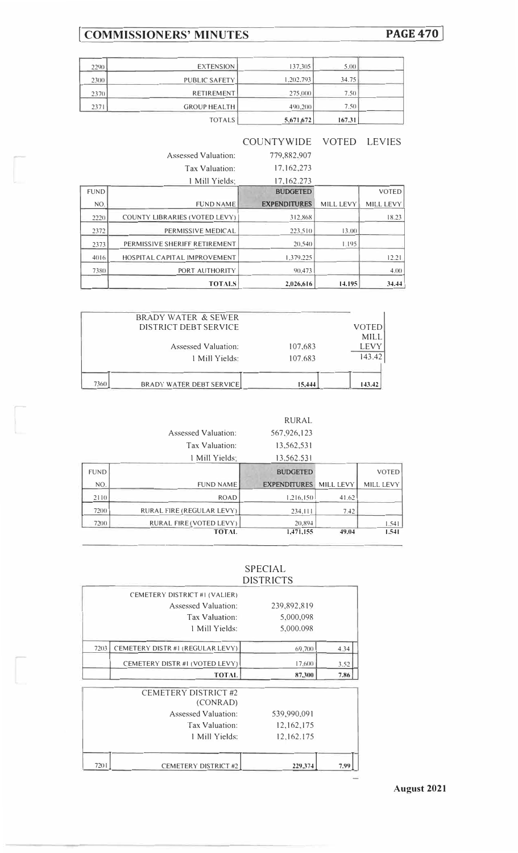# I **COMMISSIONERS' MINUTES PAGE470]**

| 2290 | <b>EXTENSION</b>    | 137,305   | 5.00   |  |
|------|---------------------|-----------|--------|--|
| 2300 | PUBLIC SAFETY       | 1,202,793 | 34.75  |  |
| 2370 | <b>RETIREMENT</b>   | 275,000   | 7.5()  |  |
| 2371 | <b>GROUP HEALTH</b> | 490,200   | 7.50   |  |
|      | <b>TOTALS</b>       | 5.671.672 | 167.31 |  |

|             |                               | <b>COUNTYWIDE</b>   | <b>VOTED</b> | <b>LEVIES</b>    |
|-------------|-------------------------------|---------------------|--------------|------------------|
|             | Assessed Valuation:           | 779,882,907         |              |                  |
|             | Tax Valuation:                | 17, 162, 273        |              |                  |
|             | 1 Mill Yields:                | 17, 162, 273        |              |                  |
| <b>FUND</b> |                               | <b>BUDGETED</b>     |              | <b>VOTED</b>     |
| NO.         | <b>FUND NAME</b>              | <b>EXPENDITURES</b> | MILL LEVY    | <b>MILL LEVY</b> |
| 2220        | COUNTY LIBRARIES (VOTED LEVY) | 312,868             |              | 18.23            |
| 2372        | PERMISSIVE MEDICAL            | 223.510             | 13(00)       |                  |
| 2373        | PERMISSIVE SHERIFF RETIREMENT | 20,540              | 1.195        |                  |
| 4016        | HOSPITAL CAPITAL IMPROVEMENT  | 1.379.225           |              | 12.21            |
| 7380        | PORT AUTHORITY                | 90.473              |              | 4.00             |
|             | <b>TOTALS</b>                 | 2,026,616           | 14.195       | 34.44            |

|      | <b>BRADY WATER &amp; SEWER</b>  |         |                      |
|------|---------------------------------|---------|----------------------|
|      | DISTRICT DEBT SERVICE           |         | <b>VOTED</b><br>MILL |
|      | Assessed Valuation:             | 107,683 | <b>LEVY</b>          |
|      |                                 |         | 143.42               |
|      | 1 Mill Yields:                  | 107.683 |                      |
| 7360 | <b>BRADY WATER DEBT SERVICE</b> | 15,444  | 143.42               |

Assessed Valuation:

| RURAL.      |
|-------------|
| 567,926,123 |
| 13.562.531  |

|             | Tax Valuation:            | 13,562,531          |           |              |
|-------------|---------------------------|---------------------|-----------|--------------|
|             | 1 Mill Yields:            | 13,562.531          |           |              |
| <b>FUND</b> |                           | <b>BUDGETED</b>     |           | <b>VOTED</b> |
| NO.         | <b>FUND NAME</b>          | <b>EXPENDITURES</b> | MILL LEVY | MILL LEVY    |
| 2110        | <b>ROAD</b>               | 1,216,150           | 41.62     |              |
| 7200        | RURAL FIRE (REGULAR LEVY) | 234,111             | 7.42      |              |
| 72(0)       | RURAL FIRE (VOTED LEVY)   | 20,894              |           | 1.541        |
|             | <b>TOTAL</b>              | 1,471,155           | 49.04     | 1.541        |

# SPECIAL DISTRICTS

|      |             | CEMETERY DISTRICT #1 (VALIER)           |      |
|------|-------------|-----------------------------------------|------|
|      | 239,892,819 | Assessed Valuation:                     |      |
|      | 5,000,098   | Tax Valuation:                          |      |
|      | 5,000.098   | 1 Mill Yields:                          |      |
| 4.34 | 69,700      | CEMETERY DISTR #1 (REGULAR LEVY)        | 7203 |
| 3.52 | 17,600      | CEMETERY DISTR#1 (VOTED LEVY)           |      |
| 7.86 | 87,300      | <b>TOTAL</b>                            |      |
|      |             | <b>CEMETERY DISTRICT #2</b><br>(CONRAD) |      |
|      | 539,990,091 | <b>Assessed Valuation:</b>              |      |
|      | 12,162,175  | Tax Valuation:                          |      |
|      | 12,162.175  | 1 Mill Yields:                          |      |
| 7.99 | 229,374     | <b>CEMETERY DISTRICT #2</b>             | 7201 |

# **August 2021**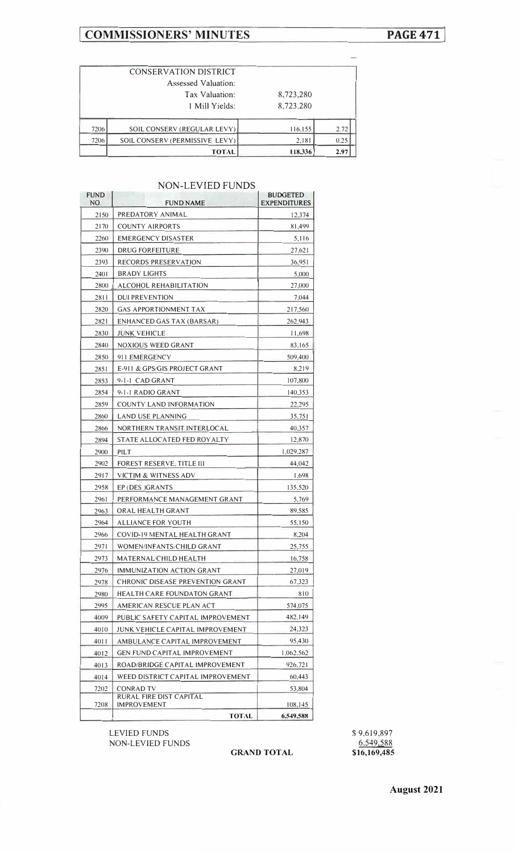# **I COMMISSIONERS' MINUTES**

# **PAGE471]**

| 7206 | SOIL CONSERV (PERMISSIVE LEVY)<br><b>TOTAL</b> | 2,181<br>118.336 | 0.25<br>2.97 |
|------|------------------------------------------------|------------------|--------------|
|      |                                                |                  |              |
| 7206 | SOIL CONSERV (REGULAR LEVY)                    | 116,155          | 2.72         |
|      | 1 Mill Yields:                                 | 8,723.280        |              |
|      | Tax Valuation:                                 | 8,723,280        |              |
|      | Assessed Valuation:                            |                  |              |
|      | CONSERVATION DISTRICT                          |                  |              |

# NON-LEVIED FUNDS

| <b>FUND</b><br>NO. | <b>FUND NAME</b>                       | <b>BUDGETED</b><br><b>EXPENDITURES</b> |
|--------------------|----------------------------------------|----------------------------------------|
| 2150               | PREDATORY ANIMAL                       | 12,374                                 |
| 2170               | COUNTY AIRPORTS                        | 81,499                                 |
| 2260               | EMERGENCY DISASTER                     | 5,116                                  |
| 2390               | <b>DRUG FORFEITURE</b>                 | 27,621                                 |
| 2393               | RECORDS PRESERVATION                   | 36,951                                 |
| 2401               | <b>BRADY LIGHTS</b>                    | 5,000                                  |
| 2800               | ALCOHOL REHABILITATION                 | 27,000                                 |
| 2811               | <b>DUI PREVENTION</b>                  | 7,044                                  |
| 2820               | GAS APPORTIONMENT TAX                  | 217,560                                |
| 2821               | ENHANCED GAS TAX (BARSAR)              | 262,943                                |
| 2830               |                                        |                                        |
|                    | <b>JUNK VEHICLE</b>                    | 11,698                                 |
| 2840               | NOXIOUS WEED GRANT                     | 83,165                                 |
| 2850               | 911 EMERGENCY                          | 509,400                                |
| 2851               | E-911 & GPS/GIS PROJECT GRANT          | 8,219                                  |
| 2853               | 9-1-1 CAD GRANT                        | 107,800                                |
| 2854               | 9-1-1 RADIO GRANT                      | 140,353                                |
| 2859               | COUNTY LAND INFORMATION                | 22,295                                 |
| 2860               | LAND USE PLANNING                      | 35,751                                 |
| 2866               | NORTHERN TRANSIT INTERLOCAL            | 40,357                                 |
| 2894               | STATE ALLOCATED FED ROYALTY            | 12,870                                 |
| 2900               | PILT                                   | 1,029,287                              |
| 2902               | FOREST RESERVE, TITLE III              | 44,042                                 |
| 2917               | VICTIM & WITNESS ADV                   | 1,698                                  |
| 2958               | EP (DES )GRANTS                        | 135,520                                |
| 2961               | PERFORMANCE MANAGEMENT GRANT           | 5,769                                  |
| 2963               | ORAL HEALTH GRANT                      | 89,585                                 |
| 2964               | <b>ALLIANCE FOR YOUTH</b>              | 55,150                                 |
| 2966               | COVID-19 MENTAL HEALTH GRANT           | 8,204                                  |
| 2971               | WOMEN/INFANTS/CHILD GRANT              | 25,755                                 |
| 2973               | MATERNAL/CHILD HEALTH                  | 16,758                                 |
| 2976               | IMMUNIZATION ACTION GRANT              | 27,019                                 |
| 2978               | CHRONIC DISEASE PREVENTION GRANT       | 67,323                                 |
| 2980               | <b>HEALTH CARE FOUNDATON GRANT</b>     | 810                                    |
| 2995               | AMERICAN RESCUE PLAN ACT               | 574,075                                |
| 4009               | PUBLIC SAFETY CAPITAL IMPROVEMENT      | 482,149                                |
| 4010               | JUNK VEHICLE CAPITAL IMPROVEMENT       | 24,323                                 |
| 4011               | AMBULANCE CAPITAL IMPROVEMENT          | 95,430                                 |
| 4012               | <b>GEN FUND CAPITAL IMPROVEMENT</b>    | 1,062,562                              |
| 4013               | ROAD/BRIDGE CAPITAL IMPROVEMENT        | 926,721                                |
| 4014               | WEED DISTRICT CAPITAL IMPROVEMENT      | 60,443                                 |
| 7202               | CONRAD TV                              | 53,804                                 |
|                    | RURAL FIRE DIST CAPITAL<br>IMPROVEMENT | 108,145                                |
| 7208               | <b>TOTAL</b>                           |                                        |
|                    |                                        | 6,549,588                              |

LEVIED FUNDS NON-LEVIED FUNDS

# **GRAND TOTAL**

\$9,619,897 6.549,588 **\$16,169,485**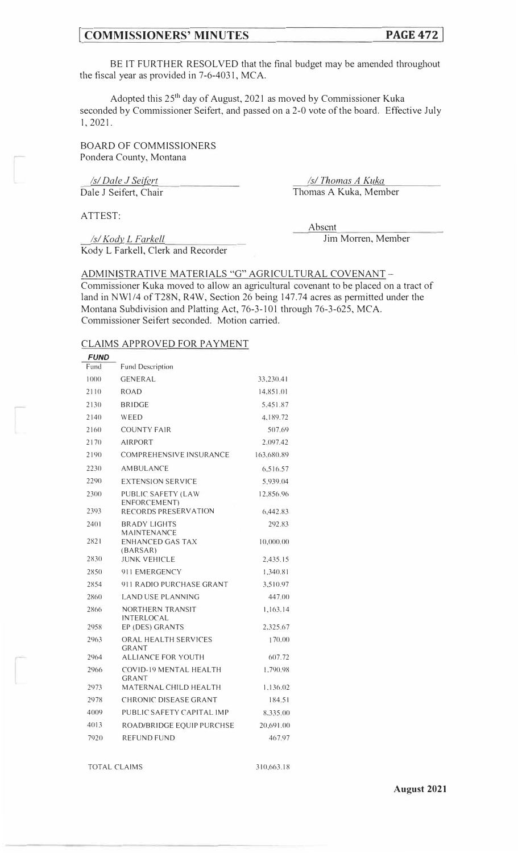# **COMMISSIONERS' MINUTES PAGE 47**

BE IT FURTHER RESOLVED that the final budget may be amended throughout the fiscal year as provided in 7-6-4031, MCA.

Adopted this 25<sup>th</sup> day of August, 2021 as moved by Commissioner Kuka seconded by Commissioner Seifert, and passed on a 2-0 vote of the board. Effective July 1, 2021.

BOARD OF COMMISSIONERS Pondera County, Montana

*Isl Dale J Seifgrt*  Dale J Seifert, Chair

*Isl Thomas A Kuka*  Thomas A Kuka, Member

ATTEST:

*Isl Kody\_ L Farkell*  Kody L Farkell, Clerk and Recorder Absent

Jim Morren, Member

ADMINISTRATIVE MATERIALS "G" AGRICULTURAL COVENANT-Commissioner Kuka moved to allow an agricultural covenant to be placed on a tract of land in NW1/4 of T28N, R4W, Section 26 being 147.74 acres as permitted under the Montana Subdivision and Platting Act, 76-3-101 through 76-3-625, MCA. Commissioner Seifert seconded. Motion carried.

#### CLAIMS APPROVED FOR PAYMENT

| <i>FUND</i> |                                            |            |
|-------------|--------------------------------------------|------------|
| Fund        | <b>Fund Description</b>                    |            |
| 1000        | GENERAL                                    | 33,230.41  |
| 2110        | <b>ROAD</b>                                | 14.851.01  |
| 2130        | <b>BRIDGE</b>                              | 5.451.87   |
| 2140        | WEED                                       | 4,189.72   |
| 2160        | <b>COUNTY FAIR</b>                         | 507.69     |
| 2170        | <b>AIRPORT</b>                             | 2.097.42   |
| 2190        | <b>COMPREHENSIVE INSURANCE</b>             | 163.680.89 |
| 2230        | AMBULANCE                                  | 6.516.57   |
| 2290        | <b>EXTENSION SERVICE</b>                   | 5,939.04   |
| 2300        | PUBLIC SAFETY (LAW<br><b>ENFORCEMENT</b> ) | 12,856.96  |
| 2393        | RECORDS PRESERVATION                       | 6,442.83   |
| 2401        | <b>BRADY LIGHTS</b><br><b>MAINTENANCE</b>  | 292.83     |
| 2821        | <b>ENHANCED GAS TAX</b><br>(BARSAR)        | 10,000.00  |
| 2830        | <b>JUNK VEHICLE</b>                        | 2,435.15   |
| 2850        | 911 EMERGENCY                              | 1,340.81   |
| 2854        | 911 RADIO PURCHASE GRANT                   | 3.510.97   |
| 2860        | LAND USE PLANNING                          | 447(00)    |
| 2866        | NORTHERN TRANSIT<br><b>INTERLOCAL</b>      | 1,163.14   |
| 2958        | EP (DES) GRANTS                            | 2,325.67   |
| 2963        | ORAL HEALTH SERVICES<br>GRANT              | 170.00     |
| 2964        | <b>ALLIANCE FOR YOUTH</b>                  | 607.72     |
| 2966        | COVID-19 MENTAL HEALTH<br><b>GRANT</b>     | 1,790.98   |
| 2973        | MATERNAL CHILD HEALTH                      | 1,136.02   |
| 2978        | CHRONIC DISEASE GRANT                      | 184.51     |
| 4009        | PUBLIC SAFETY CAPITAL IMP                  | 8,335.00   |
| 4013        | ROAD/BRIDGE EQUIP PURCHSE                  | 20,691.00  |
| 7920        | <b>REFUND FUND</b>                         | 467.97     |

TOTAL CLAIMS 310,663.18